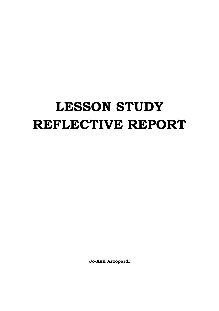# **LESSON STUDY REFLECTIVE REPORT**

**Jo-Ann Azzopardi**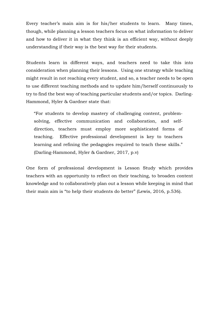Every teacher's main aim is for his/her students to learn. Many times, though, while planning a lesson teachers focus on what information to deliver and how to deliver it in what they think is an efficient way, without deeply understanding if their way is the best way for their students.

Students learn in different ways, and teachers need to take this into consideration when planning their lessons. Using one strategy while teaching might result in not reaching every student, and so, a teacher needs to be open to use different teaching methods and to update him/herself continuously to try to find the best way of teaching particular students and/or topics. Darling-Hammond, Hyler & Gardner state that:

"For students to develop mastery of challenging content, problemsolving, effective communication and collaboration, and selfdirection, teachers must employ more sophisticated forms of teaching. Effective professional development is key to teachers learning and refining the pedagogies required to teach these skills." (Darling-Hammond, Hyler & Gardner, 2017, p.v)

One form of professional development is Lesson Study which provides teachers with an opportunity to reflect on their teaching, to broaden content knowledge and to collaboratively plan out a lesson while keeping in mind that their main aim is "to help their students do better" (Lewis, 2016, p.536).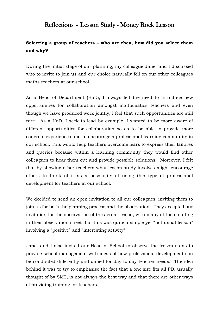# Reflections – Lesson Study - Money Rock Lesson

# **Selecting a group of teachers – who are they, how did you select them and why?**

During the initial stage of our planning, my colleague Janet and I discussed who to invite to join us and our choice naturally fell on our other colleagues maths teachers at our school.

As a Head of Department (HoD), I always felt the need to introduce new opportunities for collaboration amongst mathematics teachers and even though we have produced work jointly, I feel that such opportunities are still rare. As a HoD, I seek to lead by example. I wanted to be more aware of different opportunities for collaboration so as to be able to provide more concrete experiences and to encourage a professional learning community in our school. This would help teachers overcome fears to express their failures and queries because within a learning community they would find other colleagues to hear them out and provide possible solutions. Moreover, I felt that by showing other teachers what lesson study involves might encourage others to think of it as a possibility of using this type of professional development for teachers in our school.

We decided to send an open invitation to all our colleagues, inviting them to join us for both the planning process and the observation. They accepted our invitation for the observation of the actual lesson, with many of them stating in their observation sheet that this was quite a simple yet "not usual lesson" involving a "positive" and "interesting activity".

Janet and I also invited our Head of School to observe the lesson so as to provide school management with ideas of how professional development can be conducted differently and aimed for day-to-day teacher needs. The idea behind it was to try to emphasise the fact that a one size fits all PD, usually thought of by SMT, is not always the best way and that there are other ways of providing training for teachers.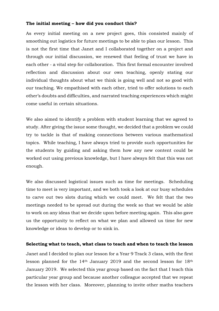## **The initial meeting – how did you conduct this?**

As every initial meeting on a new project goes, this consisted mainly of smoothing out logistics for future meetings to be able to plan our lesson. This is not the first time that Janet and I collaborated together on a project and through our initial discussion, we renewed that feeling of trust we have in each other - a vital step for collaboration. This first formal encounter involved reflection and discussion about our own teaching, openly stating our individual thoughts about what we think is going well and not so good with our teaching. We empathised with each other, tried to offer solutions to each other's doubts and difficulties, and narrated teaching experiences which might come useful in certain situations.

We also aimed to identify a problem with student learning that we agreed to study. After giving the issue some thought, we decided that a problem we could try to tackle is that of making connections between various mathematical topics. While teaching, I have always tried to provide such opportunities for the students by guiding and asking them how any new content could be worked out using previous knowledge, but I have always felt that this was not enough.

We also discussed logistical issues such as time for meetings. Scheduling time to meet is very important, and we both took a look at our busy schedules to carve out two slots during which we could meet. We felt that the two meetings needed to be spread out during the week so that we would be able to work on any ideas that we decide upon before meeting again. This also gave us the opportunity to reflect on what we plan and allowed us time for new knowledge or ideas to develop or to sink in.

### **Selecting what to teach, what class to teach and when to teach the lesson**

Janet and I decided to plan our lesson for a Year 9 Track 3 class, with the first lesson planned for the 14th January 2019 and the second lesson for 18th January 2019. We selected this year group based on the fact that I teach this particular year group and because another colleague accepted that we repeat the lesson with her class. Moreover, planning to invite other maths teachers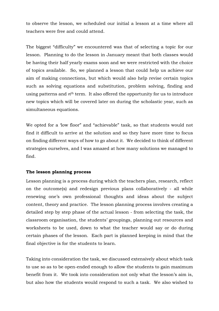to observe the lesson, we scheduled our initial a lesson at a time where all teachers were free and could attend.

The biggest "difficulty" we encountered was that of selecting a topic for our lesson. Planning to do the lesson in January meant that both classes would be having their half yearly exams soon and we were restricted with the choice of topics available. So, we planned a lesson that could help us achieve our aim of making connections, but which would also help revise certain topics such as solving equations and substitution, problem solving, finding and using patterns and *n*th term. It also offered the opportunity for us to introduce new topics which will be covered later on during the scholastic year, such as simultaneous equations.

We opted for a 'low floor" and "achievable" task, so that students would not find it difficult to arrive at the solution and so they have more time to focus on finding different ways of how to go about it. We decided to think of different strategies ourselves, and I was amazed at how many solutions we managed to find.

# **The lesson planning process**

Lesson planning is a process during which the teachers plan, research, reflect on the outcome(s) and redesign previous plans collaboratively - all while renewing one's own professional thoughts and ideas about the subject content, theory and practice. The lesson planning process involves creating a detailed step by step phase of the actual lesson - from selecting the task, the classroom organisation, the students' groupings, planning out resources and worksheets to be used, down to what the teacher would say or do during certain phases of the lesson. Each part is planned keeping in mind that the final objective is for the students to learn.

Taking into consideration the task, we discussed extensively about which task to use so as to be open-ended enough to allow the students to gain maximum benefit from it. We took into consideration not only what the lesson's aim is, but also how the students would respond to such a task. We also wished to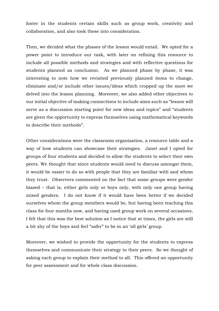foster in the students certain skills such as group work, creativity and collaboration, and also took these into consideration.

Then, we decided what the phases of the lesson would entail. We opted for a power point to introduce our task, with later on refining this resource to include all possible methods and strategies and with reflective questions for students planned as conclusion. As we planned phase by phase, it was interesting to note how we revisited previously planned items to change, eliminate and/or include other issues/ideas which cropped up the more we delved into the lesson planning. Moreover, we also added other objectives to our initial objective of making connections to include aims such as "lesson will serve as a discussion starting point for new ideas and topics" and "students are given the opportunity to express themselves using mathematical keywords to describe their methods".

Other considerations were the classroom organisation, a resource table and a way of how students can showcase their strategies. Janet and I opted for groups of four students and decided to allow the students to select their own peers. We thought that since students would need to discuss amongst them, it would be easier to do so with people that they are familiar with and whom they trust. Observers commented on the fact that some groups were gender biased – that is, either girls only or boys only, with only one group having mixed genders. I do not know if it would have been better if we decided ourselves whom the group members would be, but having been teaching this class for four months now, and having used group work on several occasions, I felt that this was the best solution as I notice that at times, the girls are still a bit shy of the boys and feel "safer" to be in an 'all girls' group.

Moreover, we wished to provide the opportunity for the students to express themselves and communicate their strategy to their peers. So we thought of asking each group to explain their method to all. This offered an opportunity for peer assessment and for whole class discussion.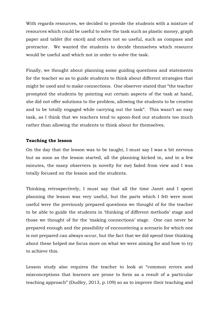With regards resources, we decided to provide the students with a mixture of resources which could be useful to solve the task such as plastic money, graph paper and tablet (for excel) and others not so useful, such as compass and protractor. We wanted the students to decide themselves which resource would be useful and which not in order to solve the task.

Finally, we thought about planning some guiding questions and statements for the teacher so as to guide students to think about different strategies that might be used and to make connections. One observer stated that "the teacher prompted the students by pointing out certain aspects of the task at hand, she did not offer solutions to the problem, allowing the students to be creative and to be totally engaged while carrying out the task". This wasn't an easy task, as I think that we teachers tend to spoon-feed our students too much rather than allowing the students to think about for themselves.

## **Teaching the lesson**

On the day that the lesson was to be taught, I must say I was a bit nervous but as soon as the lesson started, all the planning kicked in, and in a few minutes, the many observers (a novelty for me) faded from view and I was totally focused on the lesson and the students.

Thinking retrospectively, I must say that all the time Janet and I spent planning the lesson was very useful, but the parts which I felt were most useful were the previously prepared questions we thought of for the teacher to be able to guide the students in 'thinking of different methods' stage and those we thought of for the 'making connections' stage. One can never be prepared enough and the possibility of encountering a scenario for which one is not prepared can always occur, but the fact that we did spend time thinking about these helped me focus more on what we were aiming for and how to try to achieve this.

Lesson study also requires the teacher to look at "common errors and misconceptions that learners are prone to form as a result of a particular teaching approach" (Dudley, 2013, p.109) so as to improve their teaching and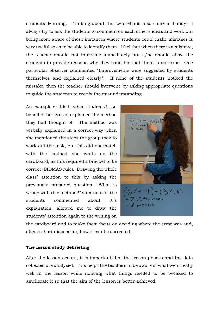students' learning. Thinking about this beforehand also came in handy. I always try to ask the students to comment on each other's ideas and work but being more aware of those instances where students could make mistakes is very useful so as to be able to identify them. I feel that when there is a mistake, the teacher should not intervene immediately but s/he should allow the students to provide reasons why they consider that there is an error. One particular observer commented "Improvements were suggested by students themselves and explained clearly". If none of the students noticed the mistake, then the teacher should intervene by asking appropriate questions to guide the students to rectify the misunderstanding.

An example of this is when student J., on behalf of her group, explained the method they had thought of. The method was verbally explained in a correct way when she mentioned the steps the group took to work out the task, but this did not match with the method she wrote on the cardboard, as this required a bracket to be correct (BIDMAS rule). Drawing the whole class' attention to this by asking the previously prepared question, "What is wrong with this method?" after none of the students commented about J.'s explanation, allowed me to draw the students' attention again to the writing on



the cardboard and to make them focus on deciding where the error was and, after a short discussion, how it can be corrected.

#### **The lesson study debriefing**

After the lesson occurs, it is important that the lesson phases and the data collected are analysed. This helps the teachers to be aware of what went really well in the lesson while noticing what things needed to be tweaked to ameliorate it so that the aim of the lesson is better achieved.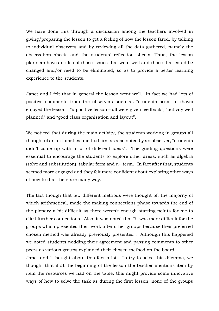We have done this through a discussion among the teachers involved in giving/preparing the lesson to get a feeling of how the lesson fared, by talking to individual observers and by reviewing all the data gathered, namely the observation sheets and the students' reflection sheets. Thus, the lesson planners have an idea of those issues that went well and those that could be changed and/or need to be eliminated, so as to provide a better learning experience to the students.

Janet and I felt that in general the lesson went well. In fact we had lots of positive comments from the observers such as "students seem to (have) enjoyed the lesson", "a positive lesson – all were given feedback", "activity well planned" and "good class organisation and layout".

We noticed that during the main activity, the students working in groups all thought of an arithmetical method first as also noted by an observer, "students didn't come up with a lot of different ideas". The guiding questions were essential to encourage the students to explore other areas, such as algebra (solve and substitution), tabular form and *n*th term. In fact after that, students seemed more engaged and they felt more confident about exploring other ways of how to that there are many way.

The fact though that few different methods were thought of, the majority of which arithmetical, made the making connections phase towards the end of the plenary a bit difficult as there weren't enough starting points for me to elicit further connections. Also, it was noted that "it was more difficult for the groups which presented their work after other groups because their preferred chosen method was already previously presented". Although this happened we noted students nodding their agreement and passing comments to other peers as various groups explained their chosen method on the board.

Janet and I thought about this fact a lot. To try to solve this dilemma, we thought that if at the beginning of the lesson the teacher mentions item by item the resources we had on the table, this might provide some innovative ways of how to solve the task as during the first lesson, none of the groups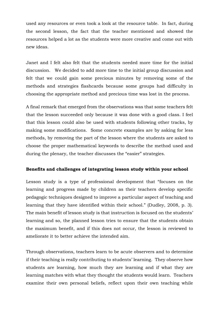used any resources or even took a look at the resource table. In fact, during the second lesson, the fact that the teacher mentioned and showed the resources helped a lot as the students were more creative and come out with new ideas.

Janet and I felt also felt that the students needed more time for the initial discussion. We decided to add more time to the initial group discussion and felt that we could gain some precious minutes by removing some of the methods and strategies flashcards because some groups had difficulty in choosing the appropriate method and precious time was lost in the process.

A final remark that emerged from the observations was that some teachers felt that the lesson succeeded only because it was done with a good class. I feel that this lesson could also be used with students following other tracks, by making some modifications. Some concrete examples are by asking for less methods, by removing the part of the lesson where the students are asked to choose the proper mathematical keywords to describe the method used and during the plenary, the teacher discusses the "easier" strategies.

### **Benefits and challenges of integrating lesson study within your school**

Lesson study is a type of professional development that "focuses on the learning and progress made by children as their teachers develop specific pedagogic techniques designed to improve a particular aspect of teaching and learning that they have identified within their school." (Dudley, 2008, p. 3). The main benefit of lesson study is that instruction is focused on the students' learning and so, the planned lesson tries to ensure that the students obtain the maximum benefit, and if this does not occur, the lesson is reviewed to ameliorate it to better achieve the intended aim.

Through observations, teachers learn to be acute observers and to determine if their teaching is really contributing to students' learning. They observe how students are learning, how much they are learning and if what they are learning matches with what they thought the students would learn. Teachers examine their own personal beliefs, reflect upon their own teaching while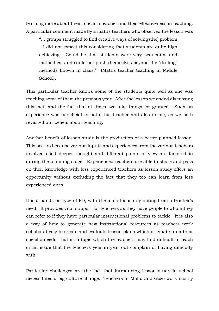learning more about their role as a teacher and their effectiveness in teaching. A particular comment made by a maths teachers who observed the lesson was

"… groups struggled to find creative ways of solving (the) problem – I did not expect this considering that students are quite high achieving. Could be that students were very sequential and methodical and could not push themselves beyond the "drilling" methods known in class." (Maths teacher teaching in Middle School).

This particular teacher knows some of the students quite well as she was teaching some of them the previous year. After the lesson we ended discussing this fact, and the fact that at times, we take things for granted. Such an experience was beneficial to both this teacher and also to me, as we both revisited our beliefs about teaching.

Another benefit of lesson study is the production of a better planned lesson. This occurs because various inputs and experiences from the various teachers involved elicit deeper thought and different points of view are factored in during the planning stage. Experienced teachers are able to share and pass on their knowledge with less experienced teachers as lesson study offers an opportunity without excluding the fact that they too can learn from less experienced ones.

It is a hands-on type of PD, with the main focus originating from a teacher's need. It provides vital support for teachers as they have people to whom they can refer to if they have particular instructional problems to tackle. It is also a way of how to generate new instructional resources as teachers work collaboratively to create and evaluate lesson plans which originate from their specific needs, that is, a topic which the teachers may find difficult to teach or an issue that the teachers year in year out complain of having difficulty with.

Particular challenges are the fact that introducing lesson study in school necessitates a big culture change. Teachers in Malta and Gozo work mostly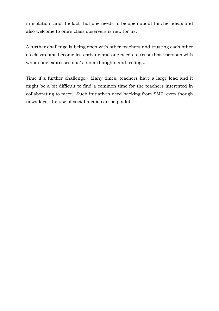in isolation, and the fact that one needs to be open about his/her ideas and also welcome to one's class observers is new for us.

A further challenge is being open with other teachers and trusting each other as classrooms become less private and one needs to trust those persons with whom one expresses one's inner thoughts and feelings.

Time if a further challenge. Many times, teachers have a large load and it might be a bit difficult to find a common time for the teachers interested in collaborating to meet. Such initiatives need backing from SMT, even though nowadays, the use of social media can help a lot.